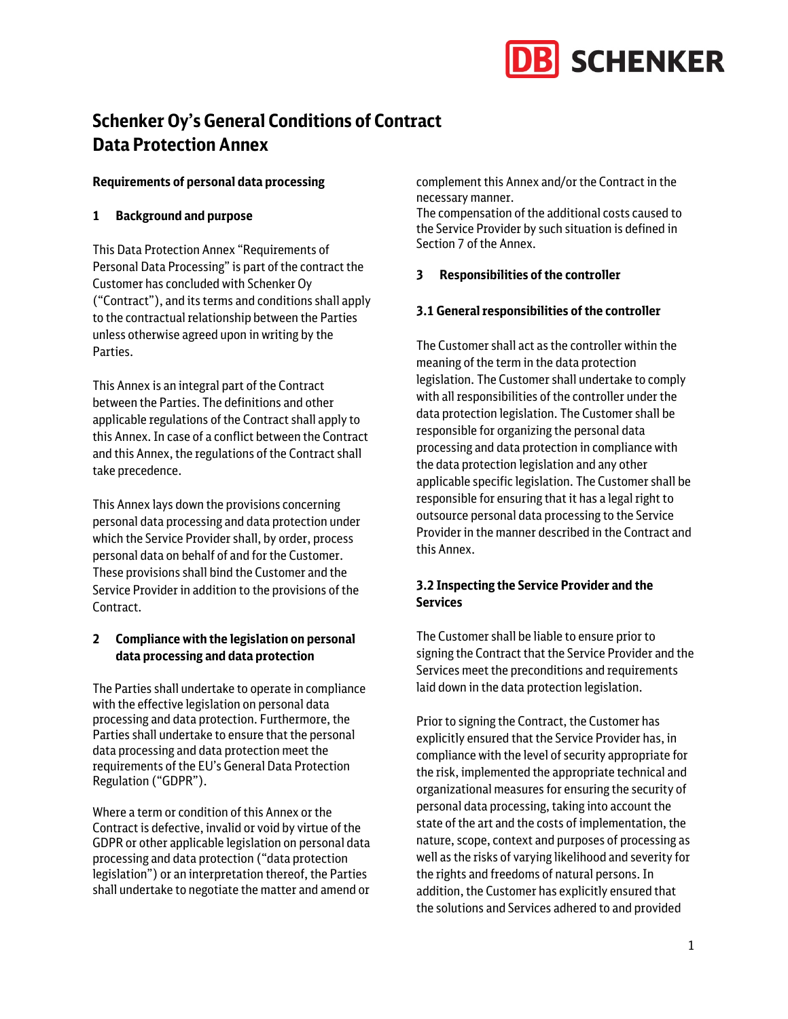

# **Schenker Oy's General Conditions of Contract Data Protection Annex**

#### **Requirements of personal data processing**

## **1 Background and purpose**

This Data Protection Annex "Requirements of Personal Data Processing" is part of the contract the Customer has concluded with Schenker Oy ("Contract"), and its terms and conditions shall apply to the contractual relationship between the Parties unless otherwise agreed upon in writing by the Parties.

This Annex is an integral part of the Contract between the Parties. The definitions and other applicable regulations of the Contract shall apply to this Annex. In case of a conflict between the Contract and this Annex, the regulations of the Contract shall take precedence.

This Annex lays down the provisions concerning personal data processing and data protection under which the Service Provider shall, by order, process personal data on behalf of and for the Customer. These provisions shall bind the Customer and the Service Provider in addition to the provisions of the Contract.

# **2 Compliance with the legislation on personal data processing and data protection**

The Parties shall undertake to operate in compliance with the effective legislation on personal data processing and data protection. Furthermore, the Parties shall undertake to ensure that the personal data processing and data protection meet the requirements of the EU's General Data Protection Regulation ("GDPR").

Where a term or condition of this Annex or the Contract is defective, invalid or void by virtue of the GDPR or other applicable legislation on personal data processing and data protection ("data protection legislation") or an interpretation thereof, the Parties shall undertake to negotiate the matter and amend or

complement this Annex and/or the Contract in the necessary manner.

The compensation of the additional costs caused to the Service Provider by such situation is defined in Section 7 of the Annex.

## **3 Responsibilities of the controller**

## **3.1 General responsibilities of the controller**

The Customer shall act as the controller within the meaning of the term in the data protection legislation. The Customer shall undertake to comply with all responsibilities of the controller under the data protection legislation. The Customer shall be responsible for organizing the personal data processing and data protection in compliance with the data protection legislation and any other applicable specific legislation. The Customer shall be responsible for ensuring that it has a legal right to outsource personal data processing to the Service Provider in the manner described in the Contract and this Annex.

## **3.2 Inspecting the Service Provider and the Services**

The Customer shall be liable to ensure prior to signing the Contract that the Service Provider and the Services meet the preconditions and requirements laid down in the data protection legislation.

Prior to signing the Contract, the Customer has explicitly ensured that the Service Provider has, in compliance with the level of security appropriate for the risk, implemented the appropriate technical and organizational measures for ensuring the security of personal data processing, taking into account the state of the art and the costs of implementation, the nature, scope, context and purposes of processing as well as the risks of varying likelihood and severity for the rights and freedoms of natural persons. In addition, the Customer has explicitly ensured that the solutions and Services adhered to and provided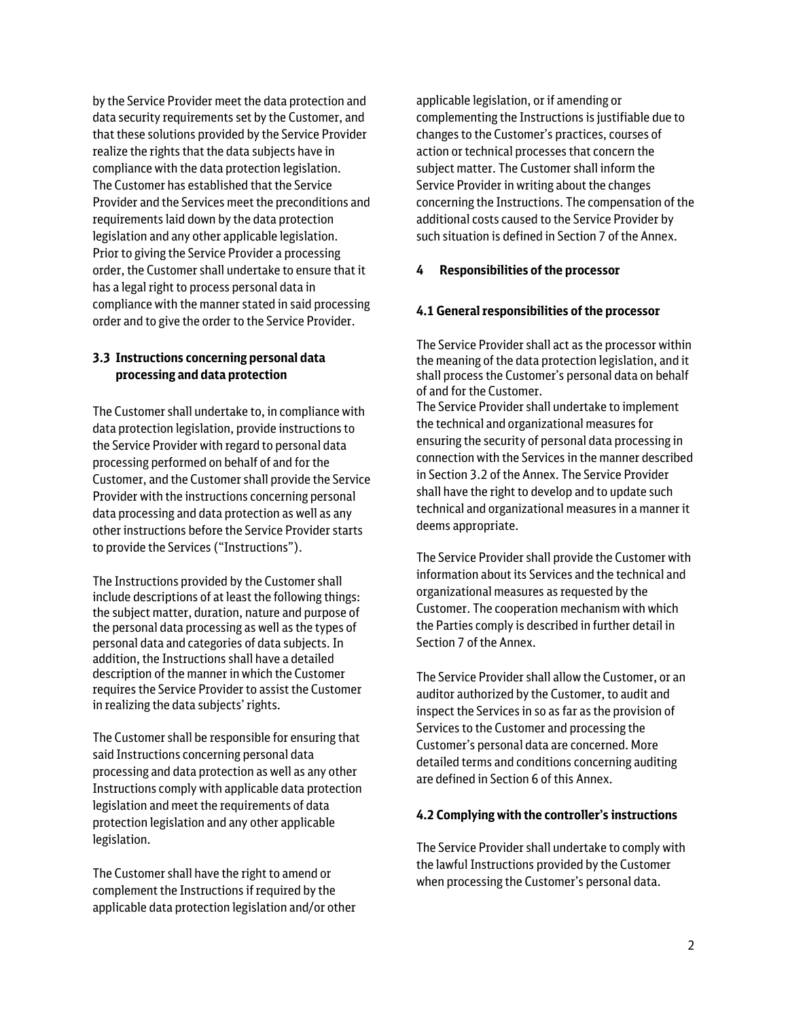by the Service Provider meet the data protection and data security requirements set by the Customer, and that these solutions provided by the Service Provider realize the rights that the data subjects have in compliance with the data protection legislation. The Customer has established that the Service Provider and the Services meet the preconditions and requirements laid down by the data protection legislation and any other applicable legislation. Prior to giving the Service Provider a processing order, the Customer shall undertake to ensure that it has a legal right to process personal data in compliance with the manner stated in said processing order and to give the order to the Service Provider.

## **3.3 Instructions concerning personal data processing and data protection**

The Customer shall undertake to, in compliance with data protection legislation, provide instructions to the Service Provider with regard to personal data processing performed on behalf of and for the Customer, and the Customer shall provide the Service Provider with the instructions concerning personal data processing and data protection as well as any other instructions before the Service Provider starts to provide the Services ("Instructions").

The Instructions provided by the Customer shall include descriptions of at least the following things: the subject matter, duration, nature and purpose of the personal data processing as well as the types of personal data and categories of data subjects. In addition, the Instructions shall have a detailed description of the manner in which the Customer requires the Service Provider to assist the Customer in realizing the data subjects' rights.

The Customer shall be responsible for ensuring that said Instructions concerning personal data processing and data protection as well as any other Instructions comply with applicable data protection legislation and meet the requirements of data protection legislation and any other applicable legislation.

The Customer shall have the right to amend or complement the Instructions if required by the applicable data protection legislation and/or other

applicable legislation, or if amending or complementing the Instructions is justifiable due to changes to the Customer's practices, courses of action or technical processes that concern the subject matter. The Customer shall inform the Service Provider in writing about the changes concerning the Instructions. The compensation of the additional costs caused to the Service Provider by such situation is defined in Section 7 of the Annex.

## **4 Responsibilities of the processor**

#### **4.1 General responsibilities of the processor**

The Service Provider shall act as the processor within the meaning of the data protection legislation, and it shall process the Customer's personal data on behalf of and for the Customer.

The Service Provider shall undertake to implement the technical and organizational measures for ensuring the security of personal data processing in connection with the Services in the manner described in Section 3.2 of the Annex. The Service Provider shall have the right to develop and to update such technical and organizational measures in a manner it deems appropriate.

The Service Provider shall provide the Customer with information about its Services and the technical and organizational measures as requested by the Customer. The cooperation mechanism with which the Parties comply is described in further detail in Section 7 of the Annex.

The Service Provider shall allow the Customer, or an auditor authorized by the Customer, to audit and inspect the Services in so as far as the provision of Services to the Customer and processing the Customer's personal data are concerned. More detailed terms and conditions concerning auditing are defined in Section 6 of this Annex.

#### **4.2 Complying with the controller's instructions**

The Service Provider shall undertake to comply with the lawful Instructions provided by the Customer when processing the Customer's personal data.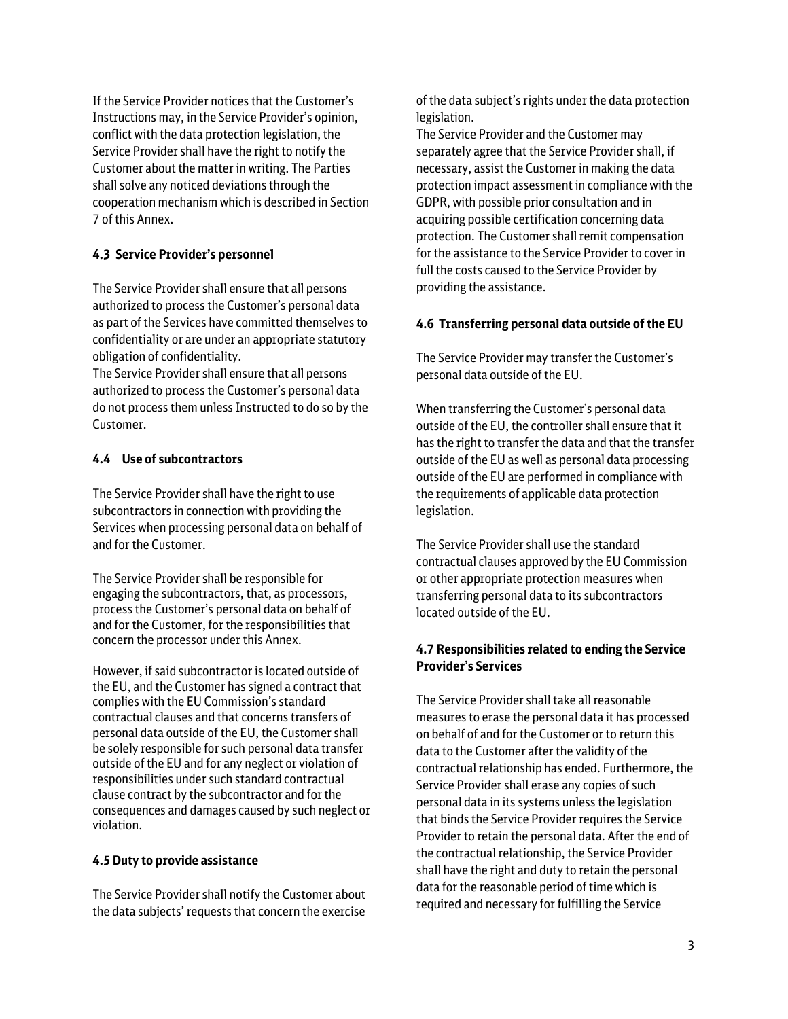If the Service Provider notices that the Customer's Instructions may, in the Service Provider's opinion, conflict with the data protection legislation, the Service Provider shall have the right to notify the Customer about the matter in writing. The Parties shall solve any noticed deviations through the cooperation mechanism which is described in Section 7 of this Annex.

# **4.3 Service Provider's personnel**

The Service Provider shall ensure that all persons authorized to process the Customer's personal data as part of the Services have committed themselves to confidentiality or are under an appropriate statutory obligation of confidentiality.

The Service Provider shall ensure that all persons authorized to process the Customer's personal data do not process them unless Instructed to do so by the Customer.

## **4.4 Use of subcontractors**

The Service Provider shall have the right to use subcontractors in connection with providing the Services when processing personal data on behalf of and for the Customer.

The Service Provider shall be responsible for engaging the subcontractors, that, as processors, process the Customer's personal data on behalf of and for the Customer, for the responsibilities that concern the processor under this Annex.

However, if said subcontractor is located outside of the EU, and the Customer has signed a contract that complies with the EU Commission's standard contractual clauses and that concerns transfers of personal data outside of the EU, the Customer shall be solely responsible for such personal data transfer outside of the EU and for any neglect or violation of responsibilities under such standard contractual clause contract by the subcontractor and for the consequences and damages caused by such neglect or violation.

#### **4.5 Duty to provide assistance**

The Service Provider shall notify the Customer about the data subjects' requests that concern the exercise

of the data subject's rights under the data protection legislation.

The Service Provider and the Customer may separately agree that the Service Provider shall, if necessary, assist the Customer in making the data protection impact assessment in compliance with the GDPR, with possible prior consultation and in acquiring possible certification concerning data protection. The Customer shall remit compensation for the assistance to the Service Provider to cover in full the costs caused to the Service Provider by providing the assistance.

#### **4.6 Transferring personal data outside of the EU**

The Service Provider may transfer the Customer's personal data outside of the EU.

When transferring the Customer's personal data outside of the EU, the controller shall ensure that it has the right to transfer the data and that the transfer outside of the EU as well as personal data processing outside of the EU are performed in compliance with the requirements of applicable data protection legislation.

The Service Provider shall use the standard contractual clauses approved by the EU Commission or other appropriate protection measures when transferring personal data to its subcontractors located outside of the EU.

## **4.7 Responsibilities related to ending the Service Provider's Services**

The Service Provider shall take all reasonable measures to erase the personal data it has processed on behalf of and for the Customer or to return this data to the Customer after the validity of the contractual relationship has ended. Furthermore, the Service Provider shall erase any copies of such personal data in its systems unless the legislation that binds the Service Provider requires the Service Provider to retain the personal data. After the end of the contractual relationship, the Service Provider shall have the right and duty to retain the personal data for the reasonable period of time which is required and necessary for fulfilling the Service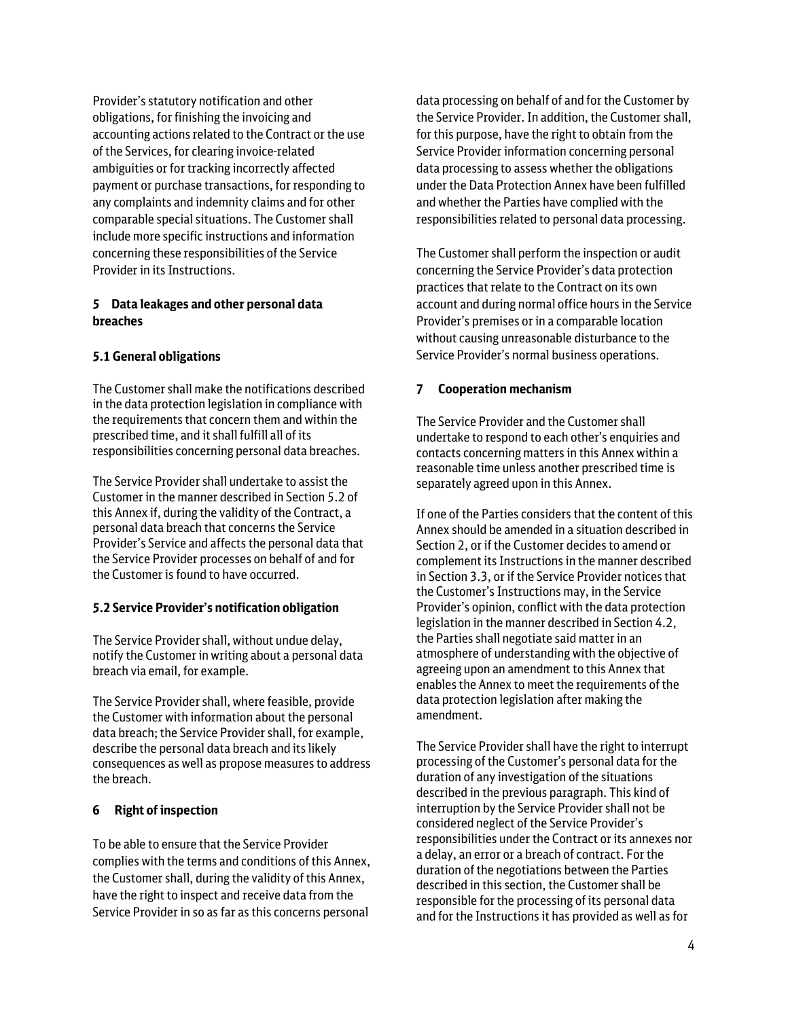Provider's statutory notification and other obligations, for finishing the invoicing and accounting actions related to the Contract or the use of the Services, for clearing invoice-related ambiguities or for tracking incorrectly affected payment or purchase transactions, for responding to any complaints and indemnity claims and for other comparable special situations. The Customer shall include more specific instructions and information concerning these responsibilities of the Service Provider in its Instructions.

# **5 Data leakages and other personal data breaches**

# **5.1 General obligations**

The Customer shall make the notifications described in the data protection legislation in compliance with the requirements that concern them and within the prescribed time, and it shall fulfill all of its responsibilities concerning personal data breaches.

The Service Provider shall undertake to assist the Customer in the manner described in Section 5.2 of this Annex if, during the validity of the Contract, a personal data breach that concerns the Service Provider's Service and affects the personal data that the Service Provider processes on behalf of and for the Customer is found to have occurred.

#### **5.2 Service Provider's notification obligation**

The Service Provider shall, without undue delay, notify the Customer in writing about a personal data breach via email, for example.

The Service Provider shall, where feasible, provide the Customer with information about the personal data breach; the Service Provider shall, for example, describe the personal data breach and its likely consequences as well as propose measures to address the breach.

# **6 Right of inspection**

To be able to ensure that the Service Provider complies with the terms and conditions of this Annex, the Customer shall, during the validity of this Annex, have the right to inspect and receive data from the Service Provider in so as far as this concerns personal

data processing on behalf of and for the Customer by the Service Provider. In addition, the Customer shall, for this purpose, have the right to obtain from the Service Provider information concerning personal data processing to assess whether the obligations under the Data Protection Annex have been fulfilled and whether the Parties have complied with the responsibilities related to personal data processing.

The Customer shall perform the inspection or audit concerning the Service Provider's data protection practices that relate to the Contract on its own account and during normal office hours in the Service Provider's premises or in a comparable location without causing unreasonable disturbance to the Service Provider's normal business operations.

## **7 Cooperation mechanism**

The Service Provider and the Customer shall undertake to respond to each other's enquiries and contacts concerning matters in this Annex within a reasonable time unless another prescribed time is separately agreed upon in this Annex.

If one of the Parties considers that the content of this Annex should be amended in a situation described in Section 2, or if the Customer decides to amend or complement its Instructions in the manner described in Section 3.3, or if the Service Provider notices that the Customer's Instructions may, in the Service Provider's opinion, conflict with the data protection legislation in the manner described in Section 4.2, the Parties shall negotiate said matter in an atmosphere of understanding with the objective of agreeing upon an amendment to this Annex that enables the Annex to meet the requirements of the data protection legislation after making the amendment.

The Service Provider shall have the right to interrupt processing of the Customer's personal data for the duration of any investigation of the situations described in the previous paragraph. This kind of interruption by the Service Provider shall not be considered neglect of the Service Provider's responsibilities under the Contract or its annexes nor a delay, an error or a breach of contract. For the duration of the negotiations between the Parties described in this section, the Customer shall be responsible for the processing of its personal data and for the Instructions it has provided as well as for